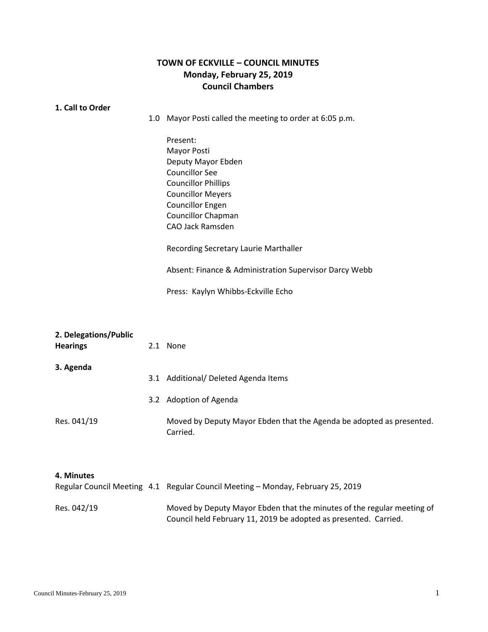## **TOWN OF ECKVILLE – COUNCIL MINUTES Monday, February 25, 2019 Council Chambers**

## **1. 1. Call to Order**

1.0 Mayor Posti called the meeting to order at 6:05 p.m.

Present: Mayor Posti Deputy Mayor Ebden Councillor See Councillor Phillips Councillor Meyers Councillor Engen Councillor Chapman CAO Jack Ramsden

Recording Secretary Laurie Marthaller

Absent: Finance & Administration Supervisor Darcy Webb

Press: Kaylyn Whibbs-Eckville Echo

Moved by Deputy Mayor Ebden that the minutes of the regular meeting of

Council held February 11, 2019 be adopted as presented. Carried.

Res. 042/19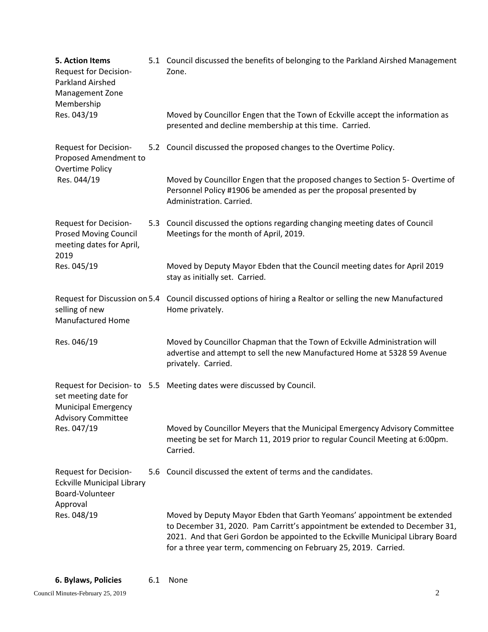| 5. Action Items<br><b>Request for Decision-</b><br>Parkland Airshed<br>Management Zone<br>Membership     |     | 5.1 Council discussed the benefits of belonging to the Parkland Airshed Management<br>Zone.                                                                                                                                                                                                                   |
|----------------------------------------------------------------------------------------------------------|-----|---------------------------------------------------------------------------------------------------------------------------------------------------------------------------------------------------------------------------------------------------------------------------------------------------------------|
| Res. 043/19                                                                                              |     | Moved by Councillor Engen that the Town of Eckville accept the information as<br>presented and decline membership at this time. Carried.                                                                                                                                                                      |
| Request for Decision-<br>Proposed Amendment to<br><b>Overtime Policy</b><br>Res. 044/19                  |     | 5.2 Council discussed the proposed changes to the Overtime Policy.                                                                                                                                                                                                                                            |
|                                                                                                          |     | Moved by Councillor Engen that the proposed changes to Section 5- Overtime of<br>Personnel Policy #1906 be amended as per the proposal presented by<br>Administration. Carried.                                                                                                                               |
| Request for Decision-<br><b>Prosed Moving Council</b><br>meeting dates for April,<br>2019<br>Res. 045/19 |     | 5.3 Council discussed the options regarding changing meeting dates of Council<br>Meetings for the month of April, 2019.                                                                                                                                                                                       |
|                                                                                                          |     | Moved by Deputy Mayor Ebden that the Council meeting dates for April 2019<br>stay as initially set. Carried.                                                                                                                                                                                                  |
| Request for Discussion on 5.4<br>selling of new<br><b>Manufactured Home</b>                              |     | Council discussed options of hiring a Realtor or selling the new Manufactured<br>Home privately.                                                                                                                                                                                                              |
| Res. 046/19                                                                                              |     | Moved by Councillor Chapman that the Town of Eckville Administration will<br>advertise and attempt to sell the new Manufactured Home at 5328 59 Avenue<br>privately. Carried.                                                                                                                                 |
| set meeting date for<br><b>Municipal Emergency</b><br><b>Advisory Committee</b><br>Res. 047/19           |     | Request for Decision-to 5.5 Meeting dates were discussed by Council.                                                                                                                                                                                                                                          |
|                                                                                                          |     | Moved by Councillor Meyers that the Municipal Emergency Advisory Committee<br>meeting be set for March 11, 2019 prior to regular Council Meeting at 6:00pm.<br>Carried.                                                                                                                                       |
| Request for Decision-<br><b>Eckville Municipal Library</b><br>Board-Volunteer<br>Approval                | 5.6 | Council discussed the extent of terms and the candidates.                                                                                                                                                                                                                                                     |
| Res. 048/19                                                                                              |     | Moved by Deputy Mayor Ebden that Garth Yeomans' appointment be extended<br>to December 31, 2020. Pam Carritt's appointment be extended to December 31,<br>2021. And that Geri Gordon be appointed to the Eckville Municipal Library Board<br>for a three year term, commencing on February 25, 2019. Carried. |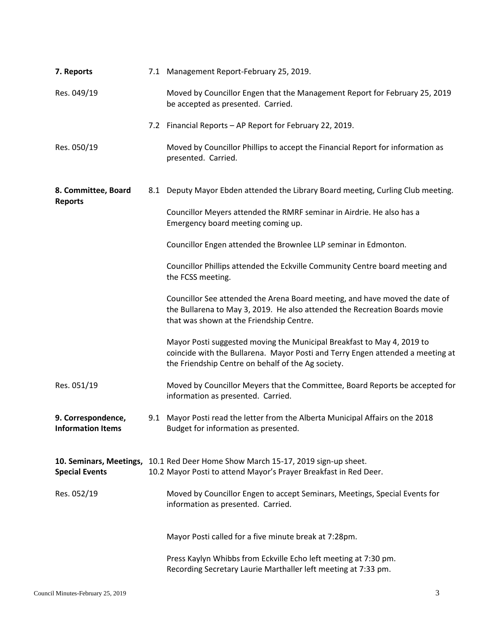| 7. Reports                                     |  | 7.1 Management Report-February 25, 2019.                                                                                                                                                                       |
|------------------------------------------------|--|----------------------------------------------------------------------------------------------------------------------------------------------------------------------------------------------------------------|
| Res. 049/19                                    |  | Moved by Councillor Engen that the Management Report for February 25, 2019<br>be accepted as presented. Carried.                                                                                               |
|                                                |  | 7.2 Financial Reports - AP Report for February 22, 2019.                                                                                                                                                       |
| Res. 050/19                                    |  | Moved by Councillor Phillips to accept the Financial Report for information as<br>presented. Carried.                                                                                                          |
| 8. Committee, Board<br><b>Reports</b>          |  | 8.1 Deputy Mayor Ebden attended the Library Board meeting, Curling Club meeting.                                                                                                                               |
|                                                |  | Councillor Meyers attended the RMRF seminar in Airdrie. He also has a<br>Emergency board meeting coming up.                                                                                                    |
|                                                |  | Councillor Engen attended the Brownlee LLP seminar in Edmonton.                                                                                                                                                |
|                                                |  | Councillor Phillips attended the Eckville Community Centre board meeting and<br>the FCSS meeting.                                                                                                              |
|                                                |  | Councillor See attended the Arena Board meeting, and have moved the date of<br>the Bullarena to May 3, 2019. He also attended the Recreation Boards movie<br>that was shown at the Friendship Centre.          |
|                                                |  | Mayor Posti suggested moving the Municipal Breakfast to May 4, 2019 to<br>coincide with the Bullarena. Mayor Posti and Terry Engen attended a meeting at<br>the Friendship Centre on behalf of the Ag society. |
| Res. 051/19                                    |  | Moved by Councillor Meyers that the Committee, Board Reports be accepted for<br>information as presented. Carried.                                                                                             |
| 9. Correspondence,<br><b>Information Items</b> |  | 9.1 Mayor Posti read the letter from the Alberta Municipal Affairs on the 2018<br>Budget for information as presented.                                                                                         |
| <b>Special Events</b>                          |  | 10. Seminars, Meetings, 10.1 Red Deer Home Show March 15-17, 2019 sign-up sheet.<br>10.2 Mayor Posti to attend Mayor's Prayer Breakfast in Red Deer.                                                           |
| Res. 052/19                                    |  | Moved by Councillor Engen to accept Seminars, Meetings, Special Events for<br>information as presented. Carried.                                                                                               |
|                                                |  | Mayor Posti called for a five minute break at 7:28pm.                                                                                                                                                          |
|                                                |  | Press Kaylyn Whibbs from Eckville Echo left meeting at 7:30 pm.<br>Recording Secretary Laurie Marthaller left meeting at 7:33 pm.                                                                              |